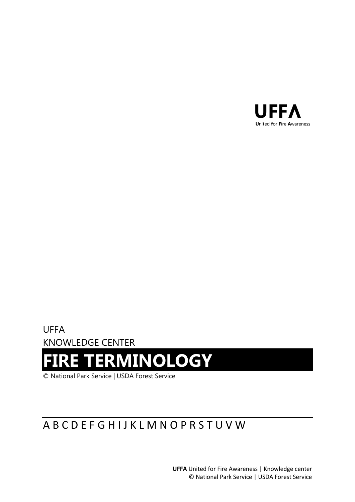

UFFA KNOWLEDGE CENTER

# **FIRE TERMINOLOGY**

© National Park Service | USDA Forest Service

## [A](#page-1-0) [B](#page-1-1) [C](#page-2-0) [D](#page-3-0) [E](#page-4-0) [F](#page-5-0) [G](#page-8-0) [H](#page-8-1) [I](#page-9-0) [J](#page-10-0) [K](#page-10-1) [L](#page-10-2) [M](#page-11-0) [N](#page-11-1) [O](#page-12-0) [P](#page-12-1) [R](#page-13-0) [S](#page-14-0) [T](#page-16-0) [U](#page-16-1) [V](#page-16-2) [W](#page-16-3)

**UFFA** United for Fire Awareness | Knowledge center © National Park Service | USDA Forest Service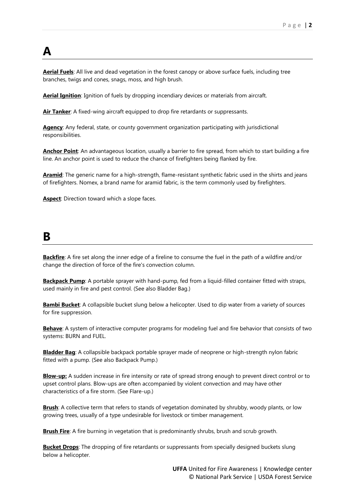## <span id="page-1-0"></span>**A**

**Aerial Fuels**: All live and dead vegetation in the forest canopy or above surface fuels, including tree branches, twigs and cones, snags, moss, and high brush.

**Aerial Ignition**: Ignition of fuels by dropping incendiary devices or materials from aircraft.

**Air Tanker**: A fixed-wing aircraft equipped to drop fire retardants or suppressants.

**Agency**: Any federal, state, or county government organization participating with jurisdictional responsibilities.

**Anchor Point**: An advantageous location, usually a barrier to fire spread, from which to start building a fire line. An anchor point is used to reduce the chance of firefighters being flanked by fire.

**Aramid**: The generic name for a high-strength, flame-resistant synthetic fabric used in the shirts and jeans of firefighters. Nomex, a brand name for aramid fabric, is the term commonly used by firefighters.

**Aspect:** Direction toward which a slope faces.

#### <span id="page-1-1"></span>**B**

**Backfire**: A fire set along the inner edge of a fireline to consume the fuel in the path of a wildfire and/or change the direction of force of the fire's convection column.

**Backpack Pump**: A portable sprayer with hand-pump, fed from a liquid-filled container fitted with straps, used mainly in fire and pest control. (See also Bladder Bag.)

**Bambi Bucket**: A collapsible bucket slung below a helicopter. Used to dip water from a variety of sources for fire suppression.

**Behave**: A system of interactive computer programs for modeling fuel and fire behavior that consists of two systems: BURN and FUEL.

**Bladder Bag**: A collapsible backpack portable sprayer made of neoprene or high-strength nylon fabric fitted with a pump. (See also Backpack Pump.)

**Blow-up:** A sudden increase in fire intensity or rate of spread strong enough to prevent direct control or to upset control plans. Blow-ups are often accompanied by violent convection and may have other characteristics of a fire storm. (See Flare-up.)

**Brush:** A collective term that refers to stands of vegetation dominated by shrubby, woody plants, or low growing trees, usually of a type undesirable for livestock or timber management.

**Brush Fire**: A fire burning in vegetation that is predominantly shrubs, brush and scrub growth.

**Bucket Drops**: The dropping of fire retardants or suppressants from specially designed buckets slung below a helicopter.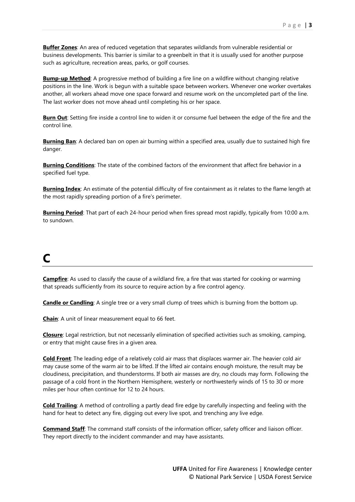**Buffer Zones**: An area of reduced vegetation that separates wildlands from vulnerable residential or business developments. This barrier is similar to a greenbelt in that it is usually used for another purpose such as agriculture, recreation areas, parks, or golf courses.

**Bump-up Method**: A progressive method of building a fire line on a wildfire without changing relative positions in the line. Work is begun with a suitable space between workers. Whenever one worker overtakes another, all workers ahead move one space forward and resume work on the uncompleted part of the line. The last worker does not move ahead until completing his or her space.

**Burn Out**: Setting fire inside a control line to widen it or consume fuel between the edge of the fire and the control line.

**Burning Ban**: A declared ban on open air burning within a specified area, usually due to sustained high fire danger.

**Burning Conditions**: The state of the combined factors of the environment that affect fire behavior in a specified fuel type.

**Burning Index**: An estimate of the potential difficulty of fire containment as it relates to the flame length at the most rapidly spreading portion of a fire's perimeter.

**Burning Period**: That part of each 24-hour period when fires spread most rapidly, typically from 10:00 a.m. to sundown.

## <span id="page-2-0"></span>**C**

**Campfire**: As used to classify the cause of a wildland fire, a fire that was started for cooking or warming that spreads sufficiently from its source to require action by a fire control agency.

**Candle or Candling**: A single tree or a very small clump of trees which is burning from the bottom up.

**Chain**: A unit of linear measurement equal to 66 feet.

**Closure**: Legal restriction, but not necessarily elimination of specified activities such as smoking, camping, or entry that might cause fires in a given area.

**Cold Front**: The leading edge of a relatively cold air mass that displaces warmer air. The heavier cold air may cause some of the warm air to be lifted. If the lifted air contains enough moisture, the result may be cloudiness, precipitation, and thunderstorms. If both air masses are dry, no clouds may form. Following the passage of a cold front in the Northern Hemisphere, westerly or northwesterly winds of 15 to 30 or more miles per hour often continue for 12 to 24 hours.

**Cold Trailing**: A method of controlling a partly dead fire edge by carefully inspecting and feeling with the hand for heat to detect any fire, digging out every live spot, and trenching any live edge.

**Command Staff**: The command staff consists of the information officer, safety officer and liaison officer. They report directly to the incident commander and may have assistants.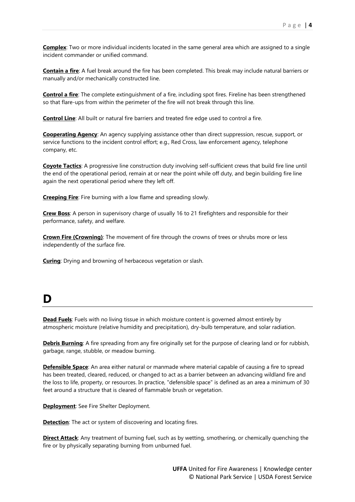**Complex**: Two or more individual incidents located in the same general area which are assigned to a single incident commander or unified command.

**Contain a fire**: A fuel break around the fire has been completed. This break may include natural barriers or manually and/or mechanically constructed line.

**Control a fire**: The complete extinguishment of a fire, including spot fires. Fireline has been strengthened so that flare-ups from within the perimeter of the fire will not break through this line.

**Control Line**: All built or natural fire barriers and treated fire edge used to control a fire.

**Cooperating Agency**: An agency supplying assistance other than direct suppression, rescue, support, or service functions to the incident control effort; e.g., Red Cross, law enforcement agency, telephone company, etc.

**Coyote Tactics**: A progressive line construction duty involving self-sufficient crews that build fire line until the end of the operational period, remain at or near the point while off duty, and begin building fire line again the next operational period where they left off.

**Creeping Fire**: Fire burning with a low flame and spreading slowly.

**Crew Boss**: A person in supervisory charge of usually 16 to 21 firefighters and responsible for their performance, safety, and welfare.

**Crown Fire (Crowning)**: The movement of fire through the crowns of trees or shrubs more or less independently of the surface fire.

**Curing**: Drying and browning of herbaceous vegetation or slash.

#### <span id="page-3-0"></span>**D**

**Dead Fuels**: Fuels with no living tissue in which moisture content is governed almost entirely by atmospheric moisture (relative humidity and precipitation), dry-bulb temperature, and solar radiation.

**Debris Burning**: A fire spreading from any fire originally set for the purpose of clearing land or for rubbish, garbage, range, stubble, or meadow burning.

**Defensible Space**: An area either natural or manmade where material capable of causing a fire to spread has been treated, cleared, reduced, or changed to act as a barrier between an advancing wildland fire and the loss to life, property, or resources. In practice, "defensible space" is defined as an area a minimum of 30 feet around a structure that is cleared of flammable brush or vegetation.

**Deployment:** See Fire Shelter Deployment.

**Detection**: The act or system of discovering and locating fires.

**Direct Attack**: Any treatment of burning fuel, such as by wetting, smothering, or chemically quenching the fire or by physically separating burning from unburned fuel.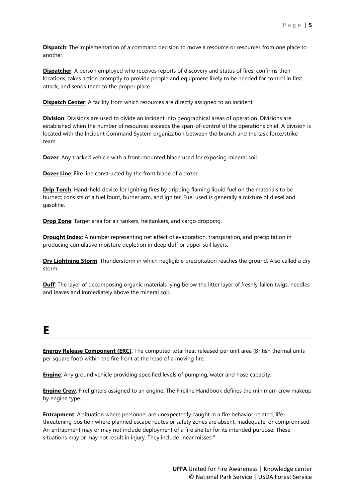**Dispatch**: The implementation of a command decision to move a resource or resources from one place to another.

**Dispatcher**: A person employed who receives reports of discovery and status of fires, confirms their locations, takes action promptly to provide people and equipment likely to be needed for control in first attack, and sends them to the proper place.

**Dispatch Center**: A facility from which resources are directly assigned to an incident.

**Division**: Divisions are used to divide an incident into geographical areas of operation. Divisions are established when the number of resources exceeds the span-of-control of the operations chief. A division is located with the Incident Command System organization between the branch and the task force/strike team.

**Dozer:** Any tracked vehicle with a front-mounted blade used for exposing mineral soil.

**Dozer Line**: Fire line constructed by the front blade of a dozer.

**Drip Torch**: Hand-held device for igniting fires by dripping flaming liquid fuel on the materials to be burned; consists of a fuel fount, burner arm, and igniter. Fuel used is generally a mixture of diesel and gasoline.

**Drop Zone**: Target area for air tankers, helitankers, and cargo dropping.

**Drought Index:** A number representing net effect of evaporation, transpiration, and precipitation in producing cumulative moisture depletion in deep duff or upper soil layers.

**Dry Lightning Storm**: Thunderstorm in which negligible precipitation reaches the ground. Also called a dry storm.

**Duff:** The layer of decomposing organic materials lying below the litter layer of freshly fallen twigs, needles, and leaves and immediately above the mineral soil.

#### <span id="page-4-0"></span>**E**

**Energy Release Component (ERC)**: The computed total heat released per unit area (British thermal units per square foot) within the fire front at the head of a moving fire.

**Engine**: Any ground vehicle providing specified levels of pumping, water and hose capacity.

**Engine Crew**: Firefighters assigned to an engine. The Fireline Handbook defines the minimum crew makeup by engine type.

**Entrapment**: A situation where personnel are unexpectedly caught in a fire behavior-related, lifethreatening position where planned escape routes or safety zones are absent, inadequate, or compromised. An entrapment may or may not include deployment of a fire shelter for its intended purpose. These situations may or may not result in injury. They include "near misses."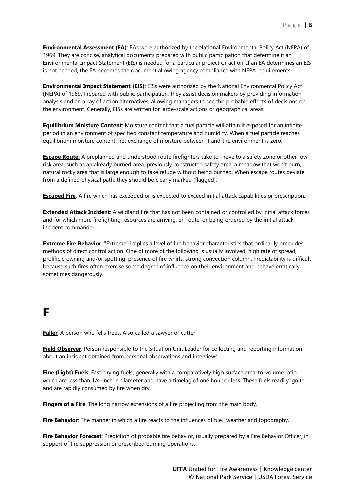**Environmental Assessment (EA)**: EAs were authorized by the National Environmental Policy Act (NEPA) of 1969. They are concise, analytical documents prepared with public participation that determine if an Environmental Impact Statement (EIS) is needed for a particular project or action. If an EA determines an EIS is not needed, the EA becomes the document allowing agency compliance with NEPA requirements.

**Environmental Impact Statement (EIS)**: EISs were authorized by the National Environmental Policy Act (NEPA) of 1969. Prepared with public participation, they assist decision makers by providing information, analysis and an array of action alternatives, allowing managers to see the probable effects of decisions on the environment. Generally, EISs are written for large-scale actions or geographical areas.

**Equilibrium Moisture Content**: Moisture content that a fuel particle will attain if exposed for an infinite period in an environment of specified constant temperature and humidity. When a fuel particle reaches equilibrium moisture content, net exchange of moisture between it and the environment is zero.

**Escape Route:** A preplanned and understood route firefighters take to move to a safety zone or other lowrisk area, such as an already burned area, previously constructed safety area, a meadow that won't burn, natural rocky area that is large enough to take refuge without being burned. When escape routes deviate from a defined physical path, they should be clearly marked (flagged).

**Escaped Fire**: A fire which has exceeded or is expected to exceed initial attack capabilities or prescription.

**Extended Attack Incident**: A wildland fire that has not been contained or controlled by initial attack forces and for which more firefighting resources are arriving, en route, or being ordered by the initial attack incident commander.

**Extreme Fire Behavior**: "Extreme" implies a level of fire behavior characteristics that ordinarily precludes methods of direct control action. One of more of the following is usually involved: high rate of spread, prolific crowning and/or spotting, presence of fire whirls, strong convection column. Predictability is difficult because such fires often exercise some degree of influence on their environment and behave erratically, sometimes dangerously.

## <span id="page-5-0"></span>**F**

**Faller**: A person who fells trees. Also called a sawyer or cutter.

**Field Observer**: Person responsible to the Situation Unit Leader for collecting and reporting information about an incident obtained from personal observations and interviews.

**Fine (Light) Fuels**: Fast-drying fuels, generally with a comparatively high surface area-to-volume ratio, which are less than 1/4-inch in diameter and have a timelag of one hour or less. These fuels readily ignite and are rapidly consumed by fire when dry.

**Fingers of a Fire**: The long narrow extensions of a fire projecting from the main body.

**Fire Behavior**: The manner in which a fire reacts to the influences of fuel, weather and topography.

**Fire Behavior Forecast**: Prediction of probable fire behavior, usually prepared by a Fire Behavior Officer, in support of fire suppression or prescribed burning operations.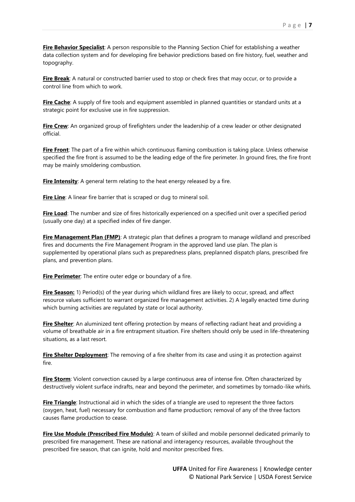**Fire Behavior Specialist**: A person responsible to the Planning Section Chief for establishing a weather data collection system and for developing fire behavior predictions based on fire history, fuel, weather and topography.

**Fire Break**: A natural or constructed barrier used to stop or check fires that may occur, or to provide a control line from which to work.

**Fire Cache:** A supply of fire tools and equipment assembled in planned quantities or standard units at a strategic point for exclusive use in fire suppression.

**Fire Crew**: An organized group of firefighters under the leadership of a crew leader or other designated official.

**Fire Front**: The part of a fire within which continuous flaming combustion is taking place. Unless otherwise specified the fire front is assumed to be the leading edge of the fire perimeter. In ground fires, the fire front may be mainly smoldering combustion.

**Fire Intensity:** A general term relating to the heat energy released by a fire.

**Fire Line**: A linear fire barrier that is scraped or dug to mineral soil.

**Fire Load**: The number and size of fires historically experienced on a specified unit over a specified period (usually one day) at a specified index of fire danger.

**Fire Management Plan (FMP)**: A strategic plan that defines a program to manage wildland and prescribed fires and documents the Fire Management Program in the approved land use plan. The plan is supplemented by operational plans such as preparedness plans, preplanned dispatch plans, prescribed fire plans, and prevention plans.

**Fire Perimeter**: The entire outer edge or boundary of a fire.

**Fire Season:** 1) Period(s) of the year during which wildland fires are likely to occur, spread, and affect resource values sufficient to warrant organized fire management activities. 2) A legally enacted time during which burning activities are regulated by state or local authority.

**Fire Shelter**: An aluminized tent offering protection by means of reflecting radiant heat and providing a volume of breathable air in a fire entrapment situation. Fire shelters should only be used in life-threatening situations, as a last resort.

**Fire Shelter Deployment**: The removing of a fire shelter from its case and using it as protection against fire.

**Fire Storm**: Violent convection caused by a large continuous area of intense fire. Often characterized by destructively violent surface indrafts, near and beyond the perimeter, and sometimes by tornado-like whirls.

**Fire Triangle**: Instructional aid in which the sides of a triangle are used to represent the three factors (oxygen, heat, fuel) necessary for combustion and flame production; removal of any of the three factors causes flame production to cease.

**Fire Use Module (Prescribed Fire Module)**: A team of skilled and mobile personnel dedicated primarily to prescribed fire management. These are national and interagency resources, available throughout the prescribed fire season, that can ignite, hold and monitor prescribed fires.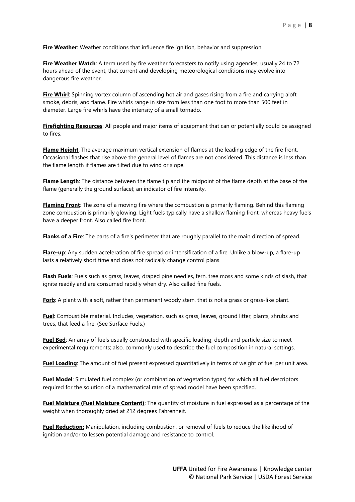**Fire Weather**: Weather conditions that influence fire ignition, behavior and suppression.

**Fire Weather Watch**: A term used by fire weather forecasters to notify using agencies, usually 24 to 72 hours ahead of the event, that current and developing meteorological conditions may evolve into dangerous fire weather.

**Fire Whirl**: Spinning vortex column of ascending hot air and gases rising from a fire and carrying aloft smoke, debris, and flame. Fire whirls range in size from less than one foot to more than 500 feet in diameter. Large fire whirls have the intensity of a small tornado.

**Firefighting Resources**: All people and major items of equipment that can or potentially could be assigned to fires.

**Flame Height**: The average maximum vertical extension of flames at the leading edge of the fire front. Occasional flashes that rise above the general level of flames are not considered. This distance is less than the flame length if flames are tilted due to wind or slope.

**Flame Length**: The distance between the flame tip and the midpoint of the flame depth at the base of the flame (generally the ground surface); an indicator of fire intensity.

**Flaming Front**: The zone of a moving fire where the combustion is primarily flaming. Behind this flaming zone combustion is primarily glowing. Light fuels typically have a shallow flaming front, whereas heavy fuels have a deeper front. Also called fire front.

**Flanks of a Fire**: The parts of a fire's perimeter that are roughly parallel to the main direction of spread.

**Flare-up**: Any sudden acceleration of fire spread or intensification of a fire. Unlike a blow-up, a flare-up lasts a relatively short time and does not radically change control plans.

**Flash Fuels**: Fuels such as grass, leaves, draped pine needles, fern, tree moss and some kinds of slash, that ignite readily and are consumed rapidly when dry. Also called fine fuels.

**Forb**: A plant with a soft, rather than permanent woody stem, that is not a grass or grass-like plant.

**Fuel**: Combustible material. Includes, vegetation, such as grass, leaves, ground litter, plants, shrubs and trees, that feed a fire. (See Surface Fuels.)

**Fuel Bed**: An array of fuels usually constructed with specific loading, depth and particle size to meet experimental requirements; also, commonly used to describe the fuel composition in natural settings.

**Fuel Loading**: The amount of fuel present expressed quantitatively in terms of weight of fuel per unit area.

**Fuel Model**: Simulated fuel complex (or combination of vegetation types) for which all fuel descriptors required for the solution of a mathematical rate of spread model have been specified.

**Fuel Moisture (Fuel Moisture Content)**: The quantity of moisture in fuel expressed as a percentage of the weight when thoroughly dried at 212 degrees Fahrenheit.

**Fuel Reduction:** Manipulation, including combustion, or removal of fuels to reduce the likelihood of ignition and/or to lessen potential damage and resistance to control.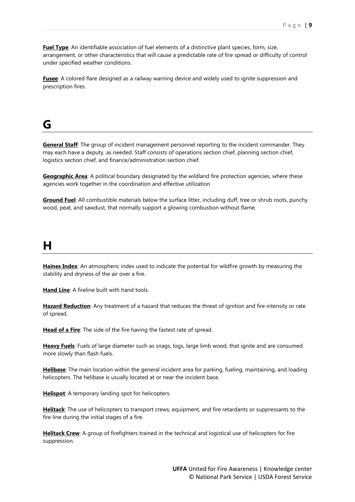**Fuel Type**: An identifiable association of fuel elements of a distinctive plant species, form, size, arrangement, or other characteristics that will cause a predictable rate of fire spread or difficulty of control under specified weather conditions.

**Fusee**: A colored flare designed as a railway warning device and widely used to ignite suppression and prescription fires.

## <span id="page-8-0"></span>**G**

**General Staff**: The group of incident management personnel reporting to the incident commander. They may each have a deputy, as needed. Staff consists of operations section chief, planning section chief, logistics section chief, and finance/administration section chief.

**Geographic Area**: A political boundary designated by the wildland fire protection agencies, where these agencies work together in the coordination and effective utilization

**Ground Fuel**: All combustible materials below the surface litter, including duff, tree or shrub roots, punchy wood, peat, and sawdust, that normally support a glowing combustion without flame.

## <span id="page-8-1"></span>**H**

**Haines Index**: An atmospheric index used to indicate the potential for wildfire growth by measuring the stability and dryness of the air over a fire.

**Hand Line**: A fireline built with hand tools.

**Hazard Reduction**: Any treatment of a hazard that reduces the threat of ignition and fire intensity or rate of spread.

**Head of a Fire**: The side of the fire having the fastest rate of spread.

**Heavy Fuels**: Fuels of large diameter such as snags, logs, large limb wood, that ignite and are consumed more slowly than flash fuels.

**Helibase**: The main location within the general incident area for parking, fueling, maintaining, and loading helicopters. The helibase is usually located at or near the incident base.

**Helispot**: A temporary landing spot for helicopters.

**Helitack**: The use of helicopters to transport crews, equipment, and fire retardants or suppressants to the fire line during the initial stages of a fire.

**Helitack Crew**: A group of firefighters trained in the technical and logistical use of helicopters for fire suppression.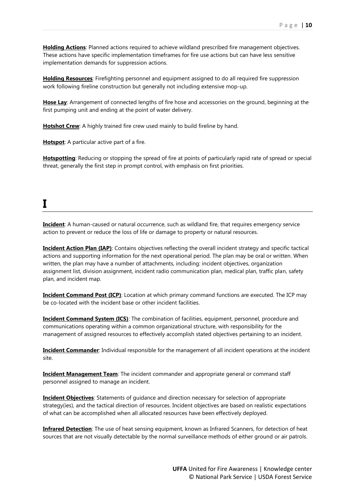**Holding Actions**: Planned actions required to achieve wildland prescribed fire management objectives. These actions have specific implementation timeframes for fire use actions but can have less sensitive implementation demands for suppression actions.

**Holding Resources**: Firefighting personnel and equipment assigned to do all required fire suppression work following fireline construction but generally not including extensive mop-up.

**Hose Lay**: Arrangement of connected lengths of fire hose and accessories on the ground, beginning at the first pumping unit and ending at the point of water delivery.

**Hotshot Crew**: A highly trained fire crew used mainly to build fireline by hand.

**Hotspot**: A particular active part of a fire.

**Hotspotting**: Reducing or stopping the spread of fire at points of particularly rapid rate of spread or special threat, generally the first step in prompt control, with emphasis on first priorities.

#### <span id="page-9-0"></span>**I**

**Incident**: A human-caused or natural occurrence, such as wildland fire, that requires emergency service action to prevent or reduce the loss of life or damage to property or natural resources.

**Incident Action Plan (IAP)**: Contains objectives reflecting the overall incident strategy and specific tactical actions and supporting information for the next operational period. The plan may be oral or written. When written, the plan may have a number of attachments, including: incident objectives, organization assignment list, division assignment, incident radio communication plan, medical plan, traffic plan, safety plan, and incident map.

**Incident Command Post (ICP)**: Location at which primary command functions are executed. The ICP may be co-located with the incident base or other incident facilities.

**Incident Command System (ICS)**: The combination of facilities, equipment, personnel, procedure and communications operating within a common organizational structure, with responsibility for the management of assigned resources to effectively accomplish stated objectives pertaining to an incident.

**Incident Commander**: Individual responsible for the management of all incident operations at the incident site.

**Incident Management Team**: The incident commander and appropriate general or command staff personnel assigned to manage an incident.

**Incident Objectives**: Statements of guidance and direction necessary for selection of appropriate strategy(ies), and the tactical direction of resources. Incident objectives are based on realistic expectations of what can be accomplished when all allocated resources have been effectively deployed.

**Infrared Detection**: The use of heat sensing equipment, known as Infrared Scanners, for detection of heat sources that are not visually detectable by the normal surveillance methods of either ground or air patrols.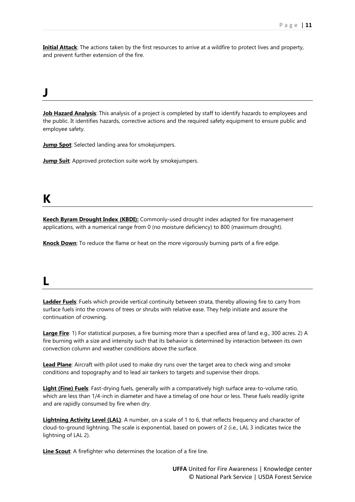**Initial Attack**: The actions taken by the first resources to arrive at a wildfire to protect lives and property, and prevent further extension of the fire.

## <span id="page-10-0"></span>**J**

**Job Hazard Analysis**: This analysis of a project is completed by staff to identify hazards to employees and the public. It identifies hazards, corrective actions and the required safety equipment to ensure public and employee safety.

**Jump Spot**: Selected landing area for smokejumpers.

**Jump Suit**: Approved protection suite work by smokejumpers.

## <span id="page-10-1"></span>**K**

**Keech Byram Drought Index (KBDI):** Commonly-used drought index adapted for fire management applications, with a numerical range from 0 (no moisture deficiency) to 800 (maximum drought).

**Knock Down**: To reduce the flame or heat on the more vigorously burning parts of a fire edge.

## <span id="page-10-2"></span>**L**

**Ladder Fuels**: Fuels which provide vertical continuity between strata, thereby allowing fire to carry from surface fuels into the crowns of trees or shrubs with relative ease. They help initiate and assure the continuation of crowning.

**Large Fire**: 1) For statistical purposes, a fire burning more than a specified area of land e.g., 300 acres. 2) A fire burning with a size and intensity such that its behavior is determined by interaction between its own convection column and weather conditions above the surface.

**Lead Plane**: Aircraft with pilot used to make dry runs over the target area to check wing and smoke conditions and topography and to lead air tankers to targets and supervise their drops.

**Light (Fine) Fuels**: Fast-drying fuels, generally with a comparatively high surface area-to-volume ratio, which are less than 1/4-inch in diameter and have a timelag of one hour or less. These fuels readily ignite and are rapidly consumed by fire when dry.

**Lightning Activity Level (LAL)**: A number, on a scale of 1 to 6, that reflects frequency and character of cloud-to-ground lightning. The scale is exponential, based on powers of 2 (i.e., LAL 3 indicates twice the lightning of LAL 2).

**Line Scout:** A firefighter who determines the location of a fire line.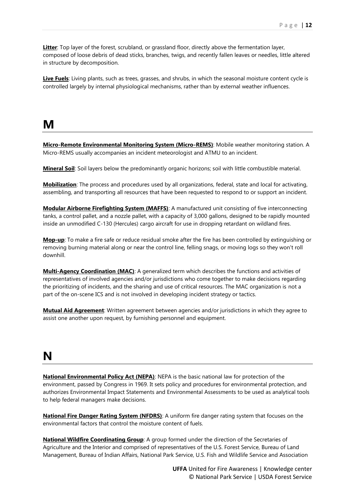**Litter**: Top layer of the forest, scrubland, or grassland floor, directly above the fermentation layer, composed of loose debris of dead sticks, branches, twigs, and recently fallen leaves or needles, little altered in structure by decomposition.

**Live Fuels**: Living plants, such as trees, grasses, and shrubs, in which the seasonal moisture content cycle is controlled largely by internal physiological mechanisms, rather than by external weather influences.

#### <span id="page-11-0"></span>**M**

**Micro-Remote Environmental Monitoring System (Micro-REMS)**: Mobile weather monitoring station. A Micro-REMS usually accompanies an incident meteorologist and ATMU to an incident.

**Mineral Soil**: Soil layers below the predominantly organic horizons; soil with little combustible material.

**Mobilization**: The process and procedures used by all organizations, federal, state and local for activating, assembling, and transporting all resources that have been requested to respond to or support an incident.

**Modular Airborne Firefighting System (MAFFS)**: A manufactured unit consisting of five interconnecting tanks, a control pallet, and a nozzle pallet, with a capacity of 3,000 gallons, designed to be rapidly mounted inside an unmodified C-130 (Hercules) cargo aircraft for use in dropping retardant on wildland fires.

**Mop-up**: To make a fire safe or reduce residual smoke after the fire has been controlled by extinguishing or removing burning material along or near the control line, felling snags, or moving logs so they won't roll downhill.

**Multi-Agency Coordination (MAC)**: A generalized term which describes the functions and activities of representatives of involved agencies and/or jurisdictions who come together to make decisions regarding the prioritizing of incidents, and the sharing and use of critical resources. The MAC organization is not a part of the on-scene ICS and is not involved in developing incident strategy or tactics.

**Mutual Aid Agreement**: Written agreement between agencies and/or jurisdictions in which they agree to assist one another upon request, by furnishing personnel and equipment.

## <span id="page-11-1"></span>**N**

**National Environmental Policy Act (NEPA)**: NEPA is the basic national law for protection of the environment, passed by Congress in 1969. It sets policy and procedures for environmental protection, and authorizes Environmental Impact Statements and Environmental Assessments to be used as analytical tools to help federal managers make decisions.

**National Fire Danger Rating System (NFDRS)**: A uniform fire danger rating system that focuses on the environmental factors that control the moisture content of fuels.

**National Wildfire Coordinating Group**: A group formed under the direction of the Secretaries of Agriculture and the Interior and comprised of representatives of the U.S. Forest Service, Bureau of Land Management, Bureau of Indian Affairs, National Park Service, U.S. Fish and Wildlife Service and Association

> **UFFA** United for Fire Awareness | Knowledge center © National Park Service | USDA Forest Service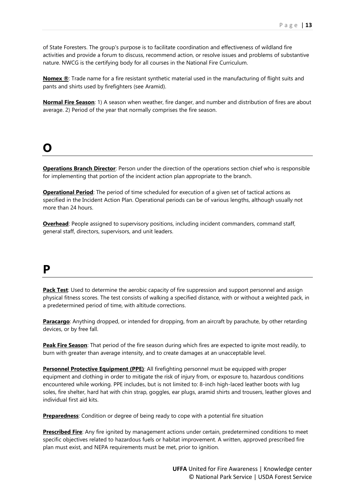of State Foresters. The group's purpose is to facilitate coordination and effectiveness of wildland fire activities and provide a forum to discuss, recommend action, or resolve issues and problems of substantive nature. NWCG is the certifying body for all courses in the National Fire Curriculum.

**Nomex ®**: Trade name for a fire resistant synthetic material used in the manufacturing of flight suits and pants and shirts used by firefighters (see Aramid).

**Normal Fire Season**: 1) A season when weather, fire danger, and number and distribution of fires are about average. 2) Period of the year that normally comprises the fire season.

## <span id="page-12-0"></span>**O**

**Operations Branch Director**: Person under the direction of the operations section chief who is responsible for implementing that portion of the incident action plan appropriate to the branch.

**Operational Period**: The period of time scheduled for execution of a given set of tactical actions as specified in the Incident Action Plan. Operational periods can be of various lengths, although usually not more than 24 hours.

**Overhead:** People assigned to supervisory positions, including incident commanders, command staff, general staff, directors, supervisors, and unit leaders.

## <span id="page-12-1"></span>**P**

Pack Test: Used to determine the aerobic capacity of fire suppression and support personnel and assign physical fitness scores. The test consists of walking a specified distance, with or without a weighted pack, in a predetermined period of time, with altitude corrections.

**Paracargo**: Anything dropped, or intended for dropping, from an aircraft by parachute, by other retarding devices, or by free fall.

**Peak Fire Season**: That period of the fire season during which fires are expected to ignite most readily, to burn with greater than average intensity, and to create damages at an unacceptable level.

**Personnel Protective Equipment (PPE)**: All firefighting personnel must be equipped with proper equipment and clothing in order to mitigate the risk of injury from, or exposure to, hazardous conditions encountered while working. PPE includes, but is not limited to: 8-inch high-laced leather boots with lug soles, fire shelter, hard hat with chin strap, goggles, ear plugs, aramid shirts and trousers, leather gloves and individual first aid kits.

**Preparedness**: Condition or degree of being ready to cope with a potential fire situation

**Prescribed Fire**: Any fire ignited by management actions under certain, predetermined conditions to meet specific objectives related to hazardous fuels or habitat improvement. A written, approved prescribed fire plan must exist, and NEPA requirements must be met, prior to ignition.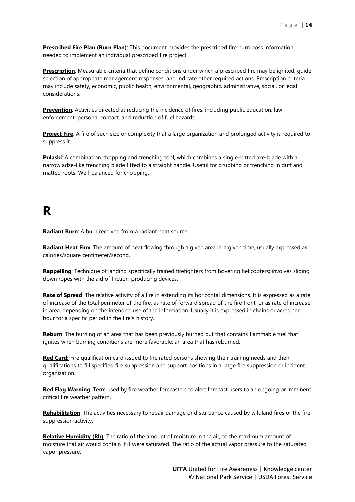**Prescribed Fire Plan (Burn Plan)**: This document provides the prescribed fire burn boss information needed to implement an individual prescribed fire project.

**Prescription**: Measurable criteria that define conditions under which a prescribed fire may be ignited, quide selection of appropriate management responses, and indicate other required actions. Prescription criteria may include safety, economic, public health, environmental, geographic, administrative, social, or legal considerations.

**Prevention**: Activities directed at reducing the incidence of fires, including public education, law enforcement, personal contact, and reduction of fuel hazards.

**Project Fire**: A fire of such size or complexity that a large organization and prolonged activity is required to suppress it.

**Pulaski**: A combination chopping and trenching tool, which combines a single-bitted axe-blade with a narrow adze-like trenching blade fitted to a straight handle. Useful for grubbing or trenching in duff and matted roots. Well-balanced for chopping.

## <span id="page-13-0"></span>**R**

**Radiant Burn**: A burn received from a radiant heat source.

**Radiant Heat Flux**: The amount of heat flowing through a given area in a given time, usually expressed as calories/square centimeter/second.

**Rappelling**: Technique of landing specifically trained firefighters from hovering helicopters; involves sliding down ropes with the aid of friction-producing devices.

**Rate of Spread**: The relative activity of a fire in extending its horizontal dimensions. It is expressed as a rate of increase of the total perimeter of the fire, as rate of forward spread of the fire front, or as rate of increase in area, depending on the intended use of the information. Usually it is expressed in chains or acres per hour for a specific period in the fire's history.

**Reburn**: The burning of an area that has been previously burned but that contains flammable fuel that ignites when burning conditions are more favorable; an area that has reburned.

**Red Card:** Fire qualification card issued to fire rated persons showing their training needs and their qualifications to fill specified fire suppression and support positions in a large fire suppression or incident organization.

**Red Flag Warning**: Term used by fire weather forecasters to alert forecast users to an ongoing or imminent critical fire weather pattern.

**Rehabilitation**: The activities necessary to repair damage or disturbance caused by wildland fires or the fire suppression activity.

**Relative Humidity (Rh)**: The ratio of the amount of moisture in the air, to the maximum amount of moisture that air would contain if it were saturated. The ratio of the actual vapor pressure to the saturated vapor pressure.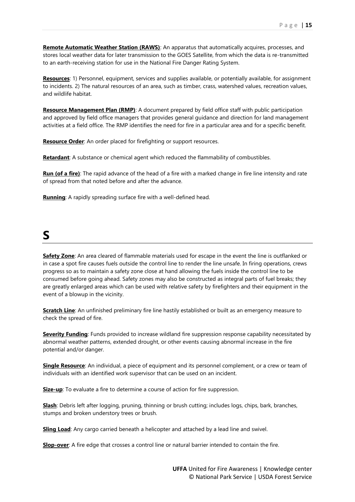**Remote Automatic Weather Station (RAWS)**: An apparatus that automatically acquires, processes, and stores local weather data for later transmission to the GOES Satellite, from which the data is re-transmitted to an earth-receiving station for use in the National Fire Danger Rating System.

**Resources**: 1) Personnel, equipment, services and supplies available, or potentially available, for assignment to incidents. 2) The natural resources of an area, such as timber, crass, watershed values, recreation values, and wildlife habitat.

**Resource Management Plan (RMP)**: A document prepared by field office staff with public participation and approved by field office managers that provides general guidance and direction for land management activities at a field office. The RMP identifies the need for fire in a particular area and for a specific benefit.

**Resource Order**: An order placed for firefighting or support resources.

**Retardant**: A substance or chemical agent which reduced the flammability of combustibles.

**Run (of a fire)**: The rapid advance of the head of a fire with a marked change in fire line intensity and rate of spread from that noted before and after the advance.

**Running**: A rapidly spreading surface fire with a well-defined head.

## <span id="page-14-0"></span>**S**

**Safety Zone**: An area cleared of flammable materials used for escape in the event the line is outflanked or in case a spot fire causes fuels outside the control line to render the line unsafe. In firing operations, crews progress so as to maintain a safety zone close at hand allowing the fuels inside the control line to be consumed before going ahead. Safety zones may also be constructed as integral parts of fuel breaks; they are greatly enlarged areas which can be used with relative safety by firefighters and their equipment in the event of a blowup in the vicinity.

**Scratch Line**: An unfinished preliminary fire line hastily established or built as an emergency measure to check the spread of fire.

**Severity Funding**: Funds provided to increase wildland fire suppression response capability necessitated by abnormal weather patterns, extended drought, or other events causing abnormal increase in the fire potential and/or danger.

**Single Resource**: An individual, a piece of equipment and its personnel complement, or a crew or team of individuals with an identified work supervisor that can be used on an incident.

**Size-up**: To evaluate a fire to determine a course of action for fire suppression.

**Slash**: Debris left after logging, pruning, thinning or brush cutting; includes logs, chips, bark, branches, stumps and broken understory trees or brush.

**Sling Load**: Any cargo carried beneath a helicopter and attached by a lead line and swivel.

**Slop-over**: A fire edge that crosses a control line or natural barrier intended to contain the fire.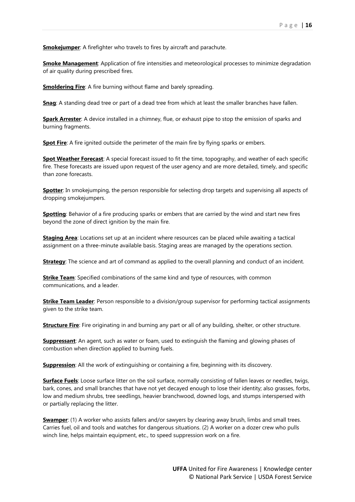**Smokejumper:** A firefighter who travels to fires by aircraft and parachute.

**Smoke Management**: Application of fire intensities and meteorological processes to minimize degradation of air quality during prescribed fires.

**Smoldering Fire:** A fire burning without flame and barely spreading.

**Snag**: A standing dead tree or part of a dead tree from which at least the smaller branches have fallen.

**Spark Arrester**: A device installed in a chimney, flue, or exhaust pipe to stop the emission of sparks and burning fragments.

**Spot Fire:** A fire ignited outside the perimeter of the main fire by flying sparks or embers.

**Spot Weather Forecast**: A special forecast issued to fit the time, topography, and weather of each specific fire. These forecasts are issued upon request of the user agency and are more detailed, timely, and specific than zone forecasts.

**Spotter**: In smokejumping, the person responsible for selecting drop targets and supervising all aspects of dropping smokejumpers.

**Spotting**: Behavior of a fire producing sparks or embers that are carried by the wind and start new fires beyond the zone of direct ignition by the main fire.

**Staging Area**: Locations set up at an incident where resources can be placed while awaiting a tactical assignment on a three-minute available basis. Staging areas are managed by the operations section.

**Strategy**: The science and art of command as applied to the overall planning and conduct of an incident.

**Strike Team**: Specified combinations of the same kind and type of resources, with common communications, and a leader.

**Strike Team Leader**: Person responsible to a division/group supervisor for performing tactical assignments given to the strike team.

**Structure Fire**: Fire originating in and burning any part or all of any building, shelter, or other structure.

**Suppressant**: An agent, such as water or foam, used to extinguish the flaming and glowing phases of combustion when direction applied to burning fuels.

**Suppression**: All the work of extinguishing or containing a fire, beginning with its discovery.

**Surface Fuels**: Loose surface litter on the soil surface, normally consisting of fallen leaves or needles, twigs, bark, cones, and small branches that have not yet decayed enough to lose their identity; also grasses, forbs, low and medium shrubs, tree seedlings, heavier branchwood, downed logs, and stumps interspersed with or partially replacing the litter.

**Swamper**: (1) A worker who assists fallers and/or sawyers by clearing away brush, limbs and small trees. Carries fuel, oil and tools and watches for dangerous situations. (2) A worker on a dozer crew who pulls winch line, helps maintain equipment, etc., to speed suppression work on a fire.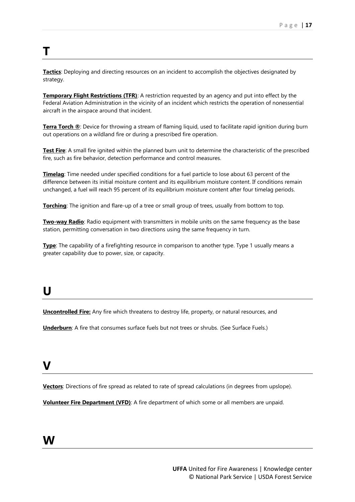## <span id="page-16-0"></span>**T**

**Tactics**: Deploying and directing resources on an incident to accomplish the objectives designated by strategy.

**Temporary Flight Restrictions (TFR)**: A restriction requested by an agency and put into effect by the Federal Aviation Administration in the vicinity of an incident which restricts the operation of nonessential aircraft in the airspace around that incident.

**Terra Torch ®**: Device for throwing a stream of flaming liquid, used to facilitate rapid ignition during burn out operations on a wildland fire or during a prescribed fire operation.

**Test Fire**: A small fire ignited within the planned burn unit to determine the characteristic of the prescribed fire, such as fire behavior, detection performance and control measures.

**Timelag**: Time needed under specified conditions for a fuel particle to lose about 63 percent of the difference between its initial moisture content and its equilibrium moisture content. If conditions remain unchanged, a fuel will reach 95 percent of its equilibrium moisture content after four timelag periods.

**Torching**: The ignition and flare-up of a tree or small group of trees, usually from bottom to top.

**Two-way Radio**: Radio equipment with transmitters in mobile units on the same frequency as the base station, permitting conversation in two directions using the same frequency in turn.

**Type**: The capability of a firefighting resource in comparison to another type. Type 1 usually means a greater capability due to power, size, or capacity.

## <span id="page-16-1"></span>**U**

**Uncontrolled Fire:** Any fire which threatens to destroy life, property, or natural resources, and

**Underburn**: A fire that consumes surface fuels but not trees or shrubs. (See Surface Fuels.)

## <span id="page-16-2"></span>**V**

**Vectors**: Directions of fire spread as related to rate of spread calculations (in degrees from upslope).

**Volunteer Fire Department (VFD)**: A fire department of which some or all members are unpaid.

## <span id="page-16-3"></span>**W**